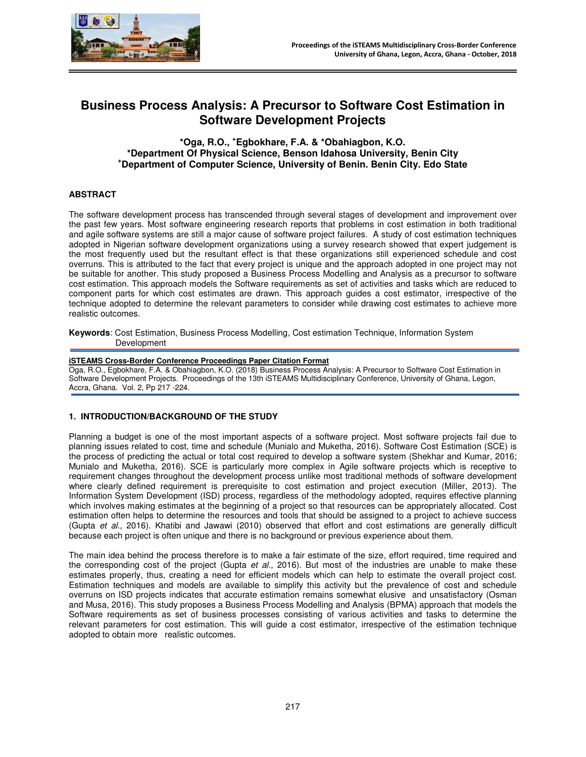

# **Business Process Analysis: A Precursor to Software Cost Estimation in Software Development Projects**

**\*Oga, R.O., <sup>+</sup> Egbokhare, F.A. & \*Obahiagbon, K.O. \*Department Of Physical Science, Benson Idahosa University, Benin City <sup>+</sup>Department of Computer Science, University of Benin. Benin City. Edo State** 

# **ABSTRACT**

The software development process has transcended through several stages of development and improvement over the past few years. Most software engineering research reports that problems in cost estimation in both traditional and agile software systems are still a major cause of software project failures. A study of cost estimation techniques adopted in Nigerian software development organizations using a survey research showed that expert judgement is the most frequently used but the resultant effect is that these organizations still experienced schedule and cost overruns. This is attributed to the fact that every project is unique and the approach adopted in one project may not be suitable for another. This study proposed a Business Process Modelling and Analysis as a precursor to software cost estimation. This approach models the Software requirements as set of activities and tasks which are reduced to component parts for which cost estimates are drawn. This approach guides a cost estimator, irrespective of the technique adopted to determine the relevant parameters to consider while drawing cost estimates to achieve more realistic outcomes.

**Keywords**: Cost Estimation, Business Process Modelling, Cost estimation Technique, Information System Development

#### **iSTEAMS Cross-Border Conference Proceedings Paper Citation Format**

Oga, R.O., Egbokhare, F.A. & Obahiagbon, K.O. (2018) Business Process Analysis: A Precursor to Software Cost Estimation in Software Development Projects. Proceedings of the 13th iSTEAMS Multidisciplinary Conference, University of Ghana, Legon, Accra, Ghana. Vol. 2, Pp 217 -224.

#### **1. INTRODUCTION/BACKGROUND OF THE STUDY**

Planning a budget is one of the most important aspects of a software project. Most software projects fail due to planning issues related to cost, time and schedule (Munialo and Muketha, 2016). Software Cost Estimation (SCE) is the process of predicting the actual or total cost required to develop a software system (Shekhar and Kumar, 2016; Munialo and Muketha, 2016). SCE is particularly more complex in Agile software projects which is receptive to requirement changes throughout the development process unlike most traditional methods of software development where clearly defined requirement is prerequisite to cost estimation and project execution (Miller, 2013). The Information System Development (ISD) process, regardless of the methodology adopted, requires effective planning which involves making estimates at the beginning of a project so that resources can be appropriately allocated. Cost estimation often helps to determine the resources and tools that should be assigned to a project to achieve success (Gupta et al., 2016). Khatibi and Jawawi (2010) observed that effort and cost estimations are generally difficult because each project is often unique and there is no background or previous experience about them.

The main idea behind the process therefore is to make a fair estimate of the size, effort required, time required and the corresponding cost of the project (Gupta et al., 2016). But most of the industries are unable to make these estimates properly, thus, creating a need for efficient models which can help to estimate the overall project cost. Estimation techniques and models are available to simplify this activity but the prevalence of cost and schedule overruns on ISD projects indicates that accurate estimation remains somewhat elusive and unsatisfactory (Osman and Musa, 2016). This study proposes a Business Process Modelling and Analysis (BPMA) approach that models the Software requirements as set of business processes consisting of various activities and tasks to determine the relevant parameters for cost estimation. This will guide a cost estimator, irrespective of the estimation technique adopted to obtain more realistic outcomes.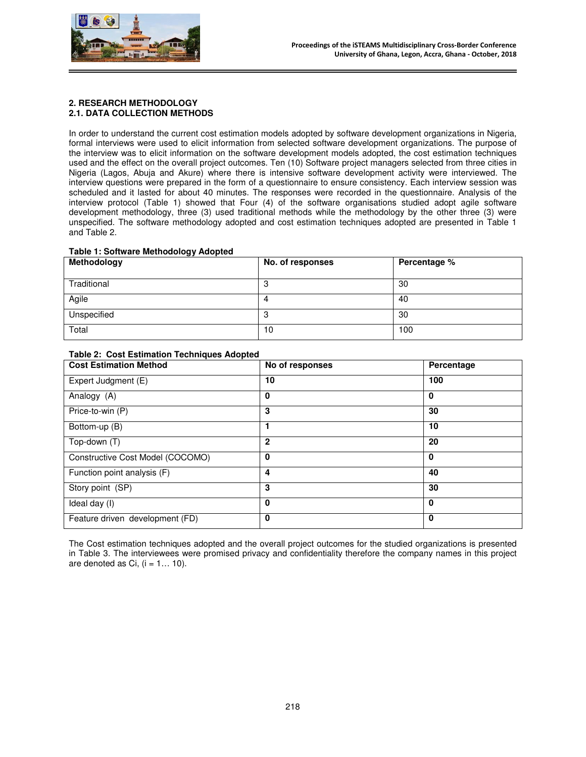

# **2. RESEARCH METHODOLOGY 2.1. DATA COLLECTION METHODS**

In order to understand the current cost estimation models adopted by software development organizations in Nigeria, formal interviews were used to elicit information from selected software development organizations. The purpose of the interview was to elicit information on the software development models adopted, the cost estimation techniques used and the effect on the overall project outcomes. Ten (10) Software project managers selected from three cities in Nigeria (Lagos, Abuja and Akure) where there is intensive software development activity were interviewed. The interview questions were prepared in the form of a questionnaire to ensure consistency. Each interview session was scheduled and it lasted for about 40 minutes. The responses were recorded in the questionnaire. Analysis of the interview protocol (Table 1) showed that Four (4) of the software organisations studied adopt agile software development methodology, three (3) used traditional methods while the methodology by the other three (3) were unspecified. The software methodology adopted and cost estimation techniques adopted are presented in Table 1 and Table 2.

#### **Table 1: Software Methodology Adopted**

| Methodology | No. of responses | Percentage % |  |  |  |  |
|-------------|------------------|--------------|--|--|--|--|
| Traditional |                  | 30           |  |  |  |  |
| Agile       |                  | 40           |  |  |  |  |
| Unspecified | u                | 30           |  |  |  |  |
| Total       | 10               | 100          |  |  |  |  |

# **Table 2: Cost Estimation Techniques Adopted**

| <b>Cost Estimation Method</b>    | No of responses | Percentage   |  |  |  |  |
|----------------------------------|-----------------|--------------|--|--|--|--|
| Expert Judgment (E)              | 10              | 100          |  |  |  |  |
| Analogy (A)                      | 0               | $\mathbf 0$  |  |  |  |  |
| Price-to-win (P)                 | 3               | 30           |  |  |  |  |
| Bottom-up (B)                    |                 | 10           |  |  |  |  |
| Top-down (T)                     | $\mathbf{2}$    | 20           |  |  |  |  |
| Constructive Cost Model (COCOMO) | 0               | $\mathbf{0}$ |  |  |  |  |
| Function point analysis (F)      | 4               | 40           |  |  |  |  |
| Story point (SP)                 | 3               | 30           |  |  |  |  |
| Ideal day (I)                    | 0               | $\mathbf{0}$ |  |  |  |  |
| Feature driven development (FD)  | 0               | 0            |  |  |  |  |

The Cost estimation techniques adopted and the overall project outcomes for the studied organizations is presented in Table 3. The interviewees were promised privacy and confidentiality therefore the company names in this project are denoted as Ci,  $(i = 1... 10)$ .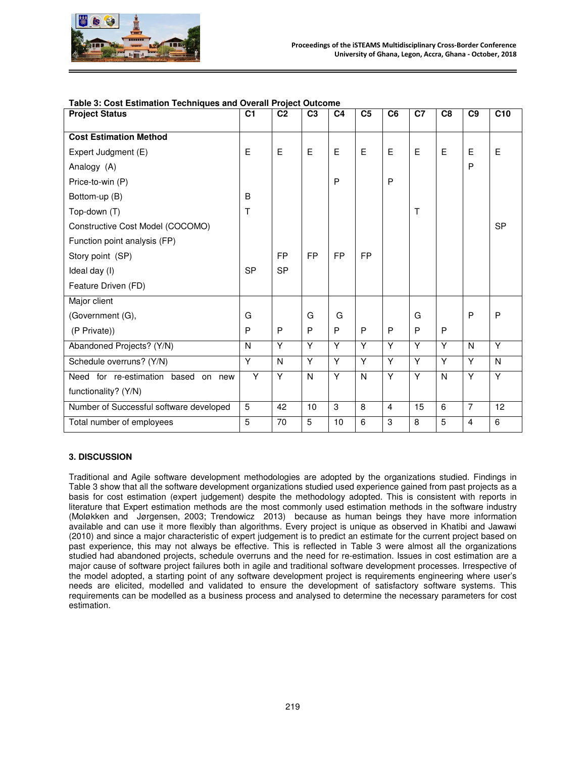

| <b>Project Status</b>                   | C <sub>1</sub> | C <sub>2</sub> | C <sub>3</sub> | C <sub>4</sub> | C <sub>5</sub> | C <sub>6</sub> | C7             | C <sub>8</sub> | C9             | C10       |
|-----------------------------------------|----------------|----------------|----------------|----------------|----------------|----------------|----------------|----------------|----------------|-----------|
| <b>Cost Estimation Method</b>           |                |                |                |                |                |                |                |                |                |           |
| Expert Judgment (E)                     | E              | E              | E              | E              | E              | E              | E              | E              | E              | E         |
| Analogy (A)                             |                |                |                |                |                |                |                |                | P              |           |
| Price-to-win (P)                        |                |                |                | $\mathsf{P}$   |                | P              |                |                |                |           |
| Bottom-up (B)                           | B              |                |                |                |                |                |                |                |                |           |
| Top-down (T)                            | T              |                |                |                |                |                | T              |                |                |           |
| Constructive Cost Model (COCOMO)        |                |                |                |                |                |                |                |                |                | <b>SP</b> |
| Function point analysis (FP)            |                |                |                |                |                |                |                |                |                |           |
| Story point (SP)                        |                | <b>FP</b>      | <b>FP</b>      | <b>FP</b>      | <b>FP</b>      |                |                |                |                |           |
| Ideal day (I)                           | <b>SP</b>      | <b>SP</b>      |                |                |                |                |                |                |                |           |
| Feature Driven (FD)                     |                |                |                |                |                |                |                |                |                |           |
| Major client                            |                |                |                |                |                |                |                |                |                |           |
| (Government (G),                        | G              |                | G              | G              |                |                | G              |                | P              | P         |
| (P Private))                            | P              | P              | P              | P              | P              | P              | P              | P              |                |           |
| Abandoned Projects? (Y/N)               | $\mathsf{N}$   | $\overline{Y}$ | Y              | Ÿ              | Ÿ              | $\overline{Y}$ | Ÿ              | Ÿ              | N              | Ÿ         |
| Schedule overruns? (Y/N)                | Y              | N              | Y              | Y              | Y              | Y              | Y              | Y              | Y              | N         |
| Need for re-estimation based<br>on new  | Y              | Y              | N              | Y              | N              | $\overline{Y}$ | $\overline{Y}$ | N              | Y              | Ÿ         |
| functionality? (Y/N)                    |                |                |                |                |                |                |                |                |                |           |
| Number of Successful software developed | $\overline{5}$ | 42             | 10             | 3              | 8              | 4              | 15             | 6              | $\overline{7}$ | 12        |
| Total number of employees               | 5              | 70             | $\overline{5}$ | 10             | 6              | 3              | 8              | 5              | 4              | 6         |

#### **3. DISCUSSION**

Traditional and Agile software development methodologies are adopted by the organizations studied. Findings in Table 3 show that all the software development organizations studied used experience gained from past projects as a basis for cost estimation (expert judgement) despite the methodology adopted. This is consistent with reports in literature that Expert estimation methods are the most commonly used estimation methods in the software industry (Moløkken and Jørgensen, 2003; Trendowicz 2013) because as human beings they have more information available and can use it more flexibly than algorithms. Every project is unique as observed in Khatibi and Jawawi (2010) and since a major characteristic of expert judgement is to predict an estimate for the current project based on past experience, this may not always be effective. This is reflected in Table 3 were almost all the organizations studied had abandoned projects, schedule overruns and the need for re-estimation. Issues in cost estimation are a major cause of software project failures both in agile and traditional software development processes. Irrespective of the model adopted, a starting point of any software development project is requirements engineering where user's needs are elicited, modelled and validated to ensure the development of satisfactory software systems. This requirements can be modelled as a business process and analysed to determine the necessary parameters for cost estimation.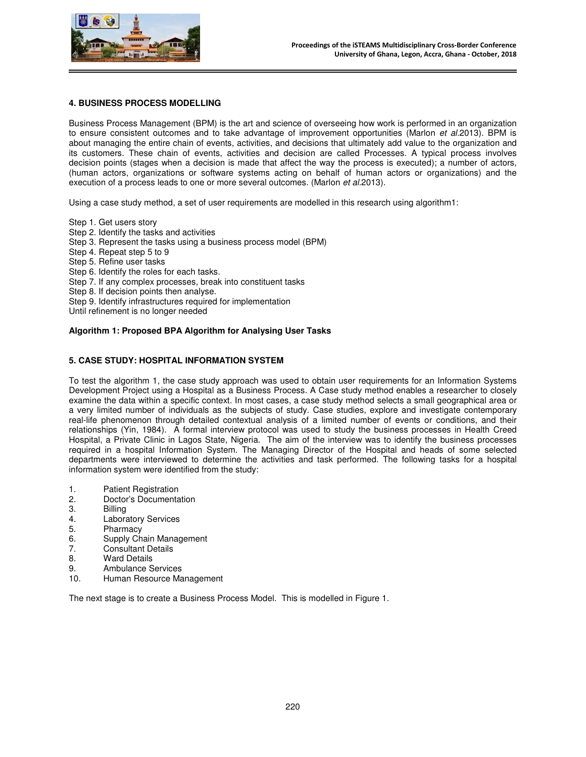

# **4. BUSINESS PROCESS MODELLING**

Business Process Management (BPM) is the art and science of overseeing how work is performed in an organization to ensure consistent outcomes and to take advantage of improvement opportunities (Marlon et al.2013). BPM is about managing the entire chain of events, activities, and decisions that ultimately add value to the organization and its customers. These chain of events, activities and decision are called Processes. A typical process involves decision points (stages when a decision is made that affect the way the process is executed); a number of actors, (human actors, organizations or software systems acting on behalf of human actors or organizations) and the execution of a process leads to one or more several outcomes. (Marlon et al.2013).

Using a case study method, a set of user requirements are modelled in this research using algorithm1:

Step 1. Get users story

- Step 2. Identify the tasks and activities
- Step 3. Represent the tasks using a business process model (BPM)
- Step 4. Repeat step 5 to 9
- Step 5. Refine user tasks
- Step 6. Identify the roles for each tasks.
- Step 7. If any complex processes, break into constituent tasks
- Step 8. If decision points then analyse.
- Step 9. Identify infrastructures required for implementation
- Until refinement is no longer needed

# **Algorithm 1: Proposed BPA Algorithm for Analysing User Tasks**

#### **5. CASE STUDY: HOSPITAL INFORMATION SYSTEM**

To test the algorithm 1, the case study approach was used to obtain user requirements for an Information Systems Development Project using a Hospital as a Business Process. A Case study method enables a researcher to closely examine the data within a specific context. In most cases, a case study method selects a small geographical area or a very limited number of individuals as the subjects of study. Case studies, explore and investigate contemporary real-life phenomenon through detailed contextual analysis of a limited number of events or conditions, and their relationships (Yin, 1984). A formal interview protocol was used to study the business processes in Health Creed Hospital, a Private Clinic in Lagos State, Nigeria. The aim of the interview was to identify the business processes required in a hospital Information System. The Managing Director of the Hospital and heads of some selected departments were interviewed to determine the activities and task performed. The following tasks for a hospital information system were identified from the study:

- 1. Patient Registration
- 2. Doctor's Documentation<br>3. Billing
- 
- 3. Billing<br>4. Labora 4. Laboratory Services<br>5. Pharmacy
- **Pharmacy**
- 6. Supply Chain Management
- 7. Consultant Details
- 8. Ward Details<br>9. Ambulance S
- 9. Ambulance Services<br>10. Human Resource Ma
- Human Resource Management

The next stage is to create a Business Process Model. This is modelled in Figure 1.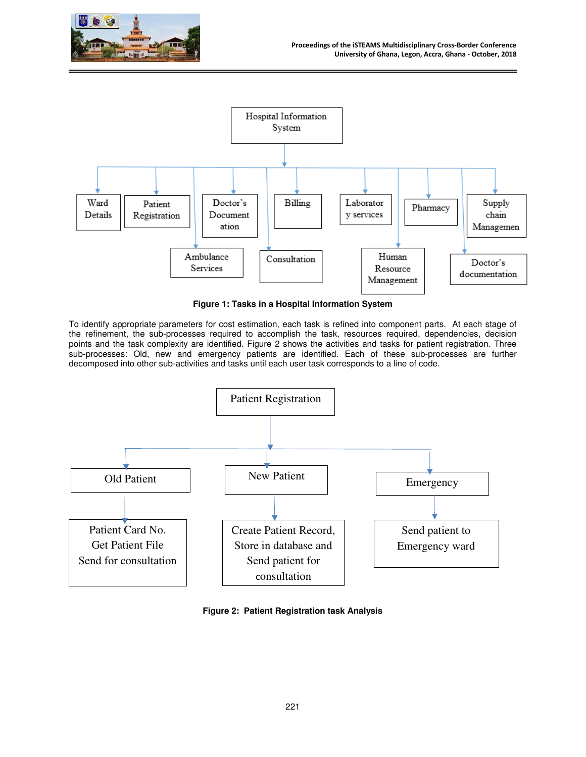



**Figure 1: Tasks in a Hospital Information System** 

To identify appropriate parameters for cost estimation, each task is refined into component parts. At each stage of the refinement, the sub-processes required to accomplish the task, resources required, dependencies, decision points and the task complexity are identified. Figure 2 shows the activities and tasks for patient registration. Three sub-processes: Old, new and emergency patients are identified. Each of these sub-processes are further decomposed into other sub-activities and tasks until each user task corresponds to a line of code.



**Figure 2: Patient Registration task Analysis**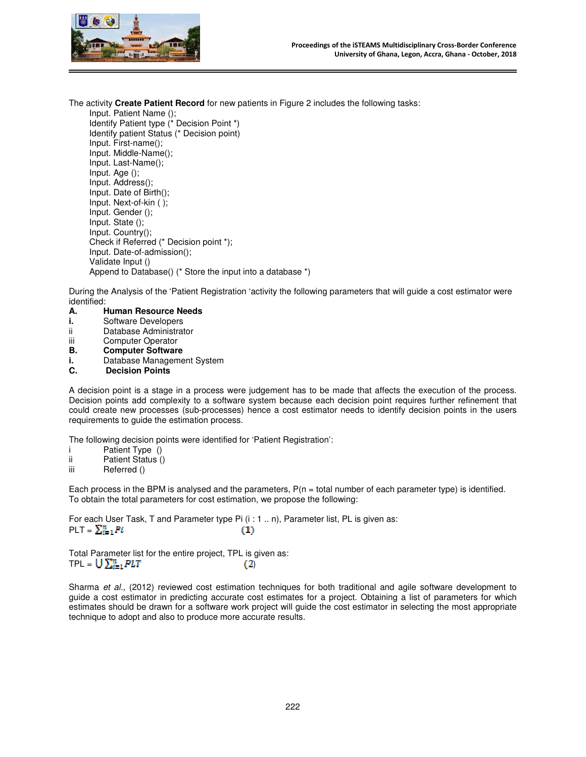



The activity **Create Patient Record** for new patients in Figure 2 includes the following tasks:

Input. Patient Name (); Identify Patient type (\* Decision Point \*) Identify patient Status (\* Decision point) Input. First-name(); Input. Middle-Name(); Input. Last-Name(); Input. Age (); Input. Address(); Input. Date of Birth(); Input. Next-of-kin ( ); Input. Gender (); Input. State (); Input. Country(); Check if Referred (\* Decision point \*); Input. Date-of-admission(); Validate Input () Append to Database() (\* Store the input into a database \*)

During the Analysis of the 'Patient Registration 'activity the following parameters that will guide a cost estimator were identified:<br>A.

- **A. Human Resource Needs**
- **i.** Software Developers
- ii Database Administrator
- iii Computer Operator
- **B. Computer Software**
- **i.** Database Management System
- **C. Decision Points**

A decision point is a stage in a process were judgement has to be made that affects the execution of the process. Decision points add complexity to a software system because each decision point requires further refinement that could create new processes (sub-processes) hence a cost estimator needs to identify decision points in the users requirements to guide the estimation process.

The following decision points were identified for 'Patient Registration':

- i Patient Type ()<br>ii Patient Status ()
- ii Patient Status ()<br>iii Referred ()
- Referred ()

Each process in the BPM is analysed and the parameters,  $P(n = total number of each parameter type)$  is identified. To obtain the total parameters for cost estimation, we propose the following:

For each User Task, T and Parameter type Pi (i : 1 .. n), Parameter list, PL is given as:  $PLT = \sum_{i=1}^{n} Pi_i$  $(1)$ 

Total Parameter list for the entire project, TPL is given as:  $TPL = \bigcup \sum_{i=1}^{n} PLT$  (2)

Sharma et al., (2012) reviewed cost estimation techniques for both traditional and agile software development to guide a cost estimator in predicting accurate cost estimates for a project. Obtaining a list of parameters for which estimates should be drawn for a software work project will guide the cost estimator in selecting the most appropriate technique to adopt and also to produce more accurate results.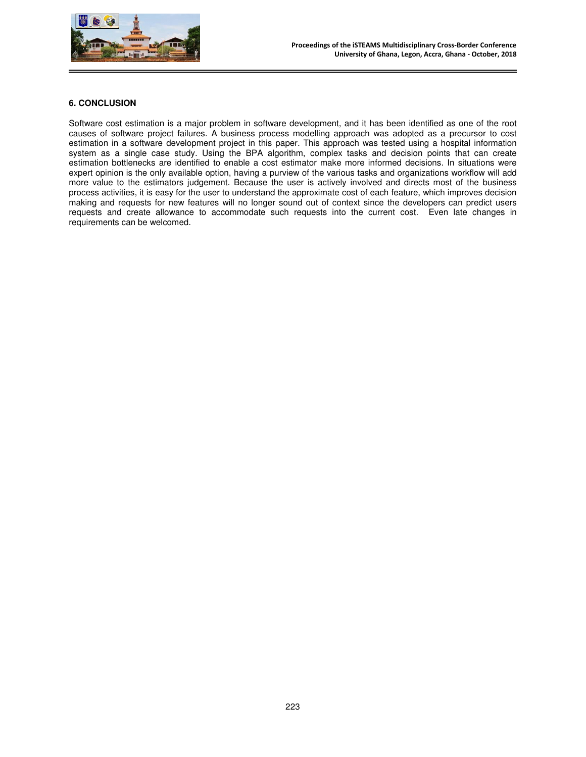

### **6. CONCLUSION**

Software cost estimation is a major problem in software development, and it has been identified as one of the root causes of software project failures. A business process modelling approach was adopted as a precursor to cost estimation in a software development project in this paper. This approach was tested using a hospital information system as a single case study. Using the BPA algorithm, complex tasks and decision points that can create estimation bottlenecks are identified to enable a cost estimator make more informed decisions. In situations were expert opinion is the only available option, having a purview of the various tasks and organizations workflow will add more value to the estimators judgement. Because the user is actively involved and directs most of the business process activities, it is easy for the user to understand the approximate cost of each feature, which improves decision making and requests for new features will no longer sound out of context since the developers can predict users requests and create allowance to accommodate such requests into the current cost. Even late changes in requirements can be welcomed.